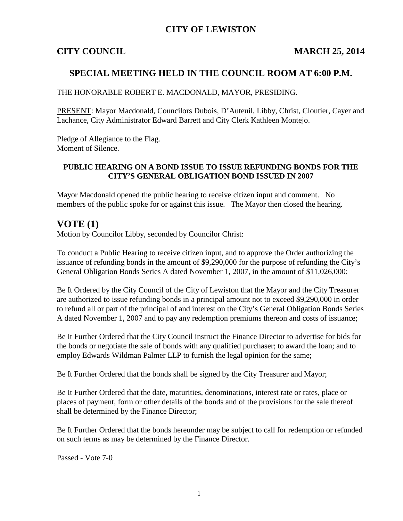### **CITY OF LEWISTON**

#### **CITY COUNCIL MARCH 25, 2014**

#### **SPECIAL MEETING HELD IN THE COUNCIL ROOM AT 6:00 P.M.**

#### THE HONORABLE ROBERT E. MACDONALD, MAYOR, PRESIDING.

PRESENT: Mayor Macdonald, Councilors Dubois, D'Auteuil, Libby, Christ, Cloutier, Cayer and Lachance, City Administrator Edward Barrett and City Clerk Kathleen Montejo.

Pledge of Allegiance to the Flag. Moment of Silence.

#### **PUBLIC HEARING ON A BOND ISSUE TO ISSUE REFUNDING BONDS FOR THE CITY'S GENERAL OBLIGATION BOND ISSUED IN 2007**

Mayor Macdonald opened the public hearing to receive citizen input and comment. No members of the public spoke for or against this issue. The Mayor then closed the hearing.

### **VOTE (1)**

Motion by Councilor Libby, seconded by Councilor Christ:

To conduct a Public Hearing to receive citizen input, and to approve the Order authorizing the issuance of refunding bonds in the amount of \$9,290,000 for the purpose of refunding the City's General Obligation Bonds Series A dated November 1, 2007, in the amount of \$11,026,000:

Be It Ordered by the City Council of the City of Lewiston that the Mayor and the City Treasurer are authorized to issue refunding bonds in a principal amount not to exceed \$9,290,000 in order to refund all or part of the principal of and interest on the City's General Obligation Bonds Series A dated November 1, 2007 and to pay any redemption premiums thereon and costs of issuance;

Be It Further Ordered that the City Council instruct the Finance Director to advertise for bids for the bonds or negotiate the sale of bonds with any qualified purchaser; to award the loan; and to employ Edwards Wildman Palmer LLP to furnish the legal opinion for the same;

Be It Further Ordered that the bonds shall be signed by the City Treasurer and Mayor;

Be It Further Ordered that the date, maturities, denominations, interest rate or rates, place or places of payment, form or other details of the bonds and of the provisions for the sale thereof shall be determined by the Finance Director;

Be It Further Ordered that the bonds hereunder may be subject to call for redemption or refunded on such terms as may be determined by the Finance Director.

Passed - Vote 7-0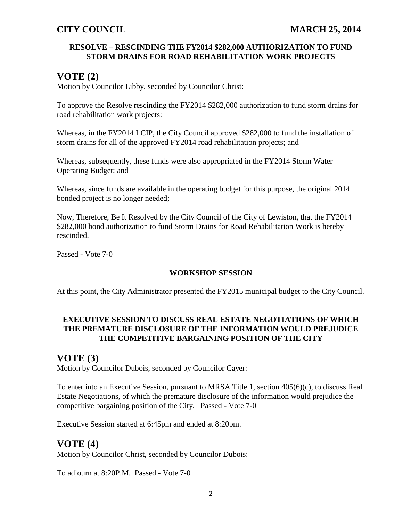#### **RESOLVE – RESCINDING THE FY2014 \$282,000 AUTHORIZATION TO FUND STORM DRAINS FOR ROAD REHABILITATION WORK PROJECTS**

## **VOTE (2)**

Motion by Councilor Libby, seconded by Councilor Christ:

To approve the Resolve rescinding the FY2014 \$282,000 authorization to fund storm drains for road rehabilitation work projects:

Whereas, in the FY2014 LCIP, the City Council approved \$282,000 to fund the installation of storm drains for all of the approved FY2014 road rehabilitation projects; and

Whereas, subsequently, these funds were also appropriated in the FY2014 Storm Water Operating Budget; and

Whereas, since funds are available in the operating budget for this purpose, the original 2014 bonded project is no longer needed;

Now, Therefore, Be It Resolved by the City Council of the City of Lewiston, that the FY2014 \$282,000 bond authorization to fund Storm Drains for Road Rehabilitation Work is hereby rescinded.

Passed - Vote 7-0

### **WORKSHOP SESSION**

At this point, the City Administrator presented the FY2015 municipal budget to the City Council.

#### **EXECUTIVE SESSION TO DISCUSS REAL ESTATE NEGOTIATIONS OF WHICH THE PREMATURE DISCLOSURE OF THE INFORMATION WOULD PREJUDICE THE COMPETITIVE BARGAINING POSITION OF THE CITY**

## **VOTE (3)**

Motion by Councilor Dubois, seconded by Councilor Cayer:

To enter into an Executive Session, pursuant to MRSA Title 1, section 405(6)(c), to discuss Real Estate Negotiations, of which the premature disclosure of the information would prejudice the competitive bargaining position of the City. Passed - Vote 7-0

Executive Session started at 6:45pm and ended at 8:20pm.

## **VOTE (4)**

Motion by Councilor Christ, seconded by Councilor Dubois:

To adjourn at 8:20P.M. Passed - Vote 7-0